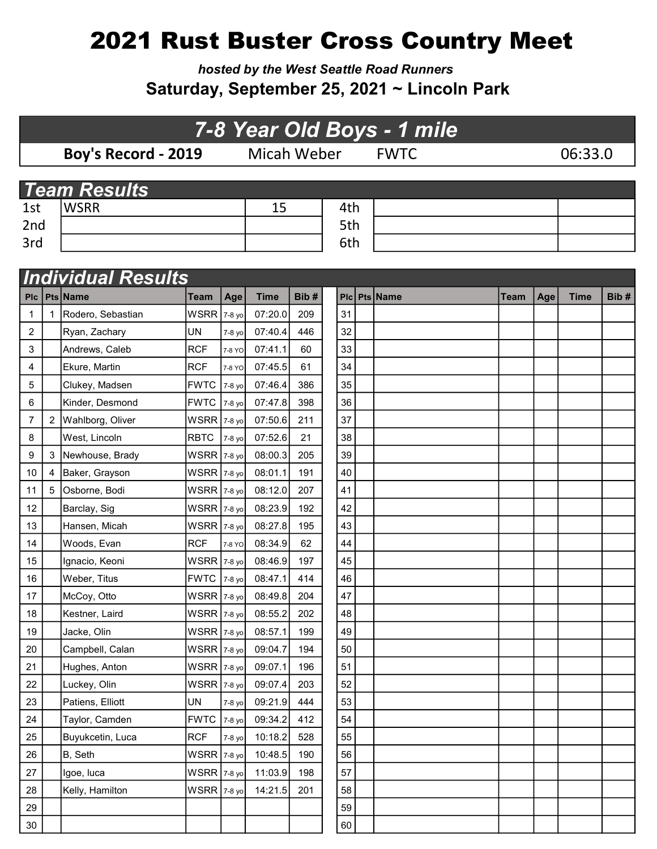## 2021 Rust Buster Cross Country Meet

hosted by the West Seattle Road Runners Saturday, September 25, 2021 ~ Lincoln Park

## 7-8 Year Old Boys - 1 mile

Boy's Record - 2019 Micah Weber FWTC 06:33.0

| <b>Team Results</b> |             |  |     |  |  |  |  |  |
|---------------------|-------------|--|-----|--|--|--|--|--|
| 1st                 | <b>WSRR</b> |  | 4th |  |  |  |  |  |
| 2nd                 |             |  | 5th |  |  |  |  |  |
| 3rd                 |             |  | 6th |  |  |  |  |  |

|            | <b>Individual Results</b> |                   |               |        |             |      |    |  |              |      |     |             |      |
|------------|---------------------------|-------------------|---------------|--------|-------------|------|----|--|--------------|------|-----|-------------|------|
| <b>PIc</b> |                           | Pts Name          | Team          | Age    | <b>Time</b> | Bib# |    |  | Plc Pts Name | Team | Age | <b>Time</b> | Bib# |
| 1          |                           | Rodero, Sebastian | WSRR 7-8 yo   |        | 07:20.0     | 209  | 31 |  |              |      |     |             |      |
| 2          |                           | Ryan, Zachary     | <b>UN</b>     | 7-8 yo | 07:40.4     | 446  | 32 |  |              |      |     |             |      |
| 3          |                           | Andrews, Caleb    | <b>RCF</b>    | 7-8 YO | 07:41.1     | 60   | 33 |  |              |      |     |             |      |
| 4          |                           | Ekure, Martin     | <b>RCF</b>    | 7-8 YO | 07:45.5     | 61   | 34 |  |              |      |     |             |      |
| 5          |                           | Clukey, Madsen    | <b>FWTC</b>   | 7-8 yo | 07:46.4     | 386  | 35 |  |              |      |     |             |      |
| 6          |                           | Kinder, Desmond   | <b>FWTC</b>   | 7-8 yo | 07:47.8     | 398  | 36 |  |              |      |     |             |      |
| 7          | 2                         | Wahlborg, Oliver  | WSRR          | 7-8 yo | 07:50.6     | 211  | 37 |  |              |      |     |             |      |
| 8          |                           | West, Lincoln     | <b>RBTC</b>   | 7-8 yo | 07:52.6     | 21   | 38 |  |              |      |     |             |      |
| 9          | 3                         | Newhouse, Brady   | WSRR 7-8 yo   |        | 08:00.3     | 205  | 39 |  |              |      |     |             |      |
| 10         | 4                         | Baker, Grayson    | WSRR 7-8 yo   |        | 08:01.1     | 191  | 40 |  |              |      |     |             |      |
| 11         | 5                         | Osborne, Bodi     | WSRR 7-8 yo   |        | 08:12.0     | 207  | 41 |  |              |      |     |             |      |
| 12         |                           | Barclay, Sig      | WSRR 7-8 yo   |        | 08:23.9     | 192  | 42 |  |              |      |     |             |      |
| 13         |                           | Hansen, Micah     | WSRR 7-8 yo   |        | 08:27.8     | 195  | 43 |  |              |      |     |             |      |
| 14         |                           | Woods, Evan       | <b>RCF</b>    | 7-8 YO | 08:34.9     | 62   | 44 |  |              |      |     |             |      |
| 15         |                           | Ignacio, Keoni    | WSRR 7-8 yo   |        | 08:46.9     | 197  | 45 |  |              |      |     |             |      |
| 16         |                           | Weber, Titus      | <b>FWTC</b>   | 7-8 yo | 08:47.1     | 414  | 46 |  |              |      |     |             |      |
| 17         |                           | McCoy, Otto       | WSRR 7-8 yo   |        | 08:49.8     | 204  | 47 |  |              |      |     |             |      |
| 18         |                           | Kestner, Laird    | $WSRR$ 7-8 yo |        | 08:55.2     | 202  | 48 |  |              |      |     |             |      |
| 19         |                           | Jacke, Olin       | WSRR 7-8 yo   |        | 08:57.1     | 199  | 49 |  |              |      |     |             |      |
| 20         |                           | Campbell, Calan   | WSRR 7-8 yo   |        | 09:04.7     | 194  | 50 |  |              |      |     |             |      |
| 21         |                           | Hughes, Anton     | $WSRR$ 7-8 yo |        | 09:07.1     | 196  | 51 |  |              |      |     |             |      |
| 22         |                           | Luckey, Olin      | WSRR 7-8 yo   |        | 09:07.4     | 203  | 52 |  |              |      |     |             |      |
| 23         |                           | Patiens, Elliott  | UN            | 7-8 yo | 09:21.9     | 444  | 53 |  |              |      |     |             |      |
| 24         |                           | Taylor, Camden    | <b>FWTC</b>   | 7-8 yo | 09:34.2     | 412  | 54 |  |              |      |     |             |      |
| 25         |                           | Buyukcetin, Luca  | <b>RCF</b>    | 7-8 yo | 10:18.2     | 528  | 55 |  |              |      |     |             |      |
| 26         |                           | B, Seth           | $WSRR$ 7-8 yo |        | 10:48.5     | 190  | 56 |  |              |      |     |             |      |
| 27         |                           | Igoe, luca        | WSRR 7-8 yo   |        | 11:03.9     | 198  | 57 |  |              |      |     |             |      |
| 28         |                           | Kelly, Hamilton   | WSRR 7-8 yo   |        | 14:21.5     | 201  | 58 |  |              |      |     |             |      |
| 29         |                           |                   |               |        |             |      | 59 |  |              |      |     |             |      |
| 30         |                           |                   |               |        |             |      | 60 |  |              |      |     |             |      |